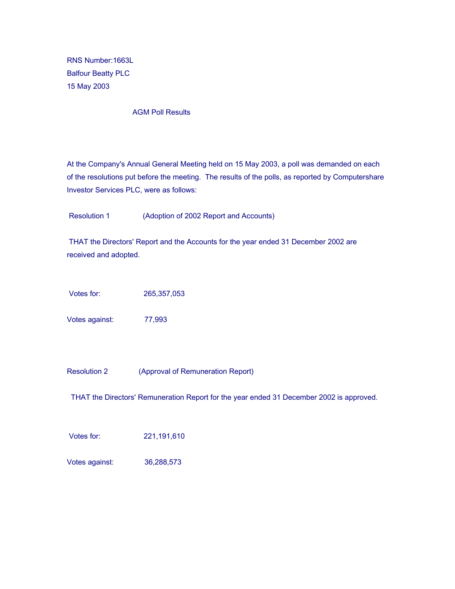RNS Number:1663L Balfour Beatty PLC 15 May 2003

AGM Poll Results

At the Company's Annual General Meeting held on 15 May 2003, a poll was demanded on each of the resolutions put before the meeting. The results of the polls, as reported by Computershare Investor Services PLC, were as follows:

Resolution 1 (Adoption of 2002 Report and Accounts)

 THAT the Directors' Report and the Accounts for the year ended 31 December 2002 are received and adopted.

Votes for: 265,357,053

Votes against: 77,993

Resolution 2 (Approval of Remuneration Report)

THAT the Directors' Remuneration Report for the year ended 31 December 2002 is approved.

Votes for: 221,191,610

Votes against: 36,288,573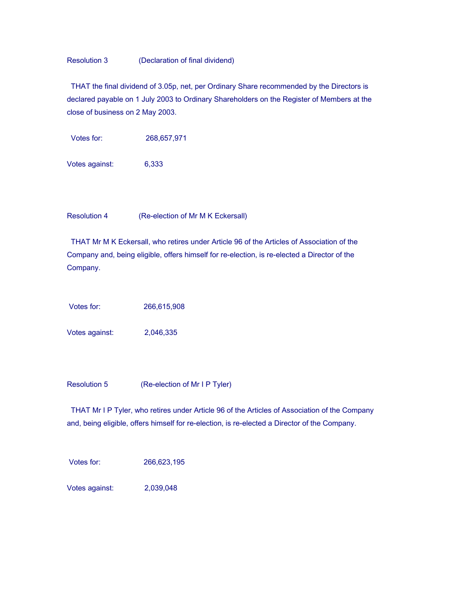## Resolution 3 (Declaration of final dividend)

 THAT the final dividend of 3.05p, net, per Ordinary Share recommended by the Directors is declared payable on 1 July 2003 to Ordinary Shareholders on the Register of Members at the close of business on 2 May 2003.

Votes for: 268,657,971

Votes against: 6,333

Resolution 4 (Re-election of Mr M K Eckersall)

 THAT Mr M K Eckersall, who retires under Article 96 of the Articles of Association of the Company and, being eligible, offers himself for re-election, is re-elected a Director of the Company.

Votes for: 266,615,908

Votes against: 2,046,335

Resolution 5 (Re-election of Mr I P Tyler)

 THAT Mr I P Tyler, who retires under Article 96 of the Articles of Association of the Company and, being eligible, offers himself for re-election, is re-elected a Director of the Company.

Votes for: 266,623,195

Votes against: 2,039,048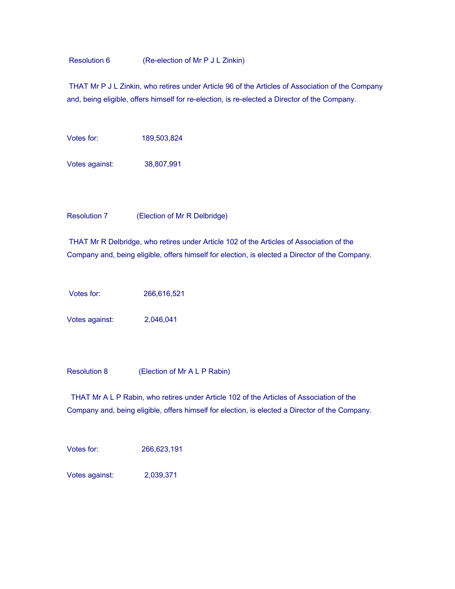Resolution 6 (Re-election of Mr P J L Zinkin)

 THAT Mr P J L Zinkin, who retires under Article 96 of the Articles of Association of the Company and, being eligible, offers himself for re-election, is re-elected a Director of the Company.

Votes for: 189,503,824

Votes against: 38,807,991

Resolution 7 (Election of Mr R Delbridge)

 THAT Mr R Delbridge, who retires under Article 102 of the Articles of Association of the Company and, being eligible, offers himself for election, is elected a Director of the Company.

Votes for: 266,616,521

Votes against: 2,046,041

Resolution 8 (Election of Mr A L P Rabin)

 THAT Mr A L P Rabin, who retires under Article 102 of the Articles of Association of the Company and, being eligible, offers himself for election, is elected a Director of the Company.

Votes for: 266,623,191

Votes against: 2,039,371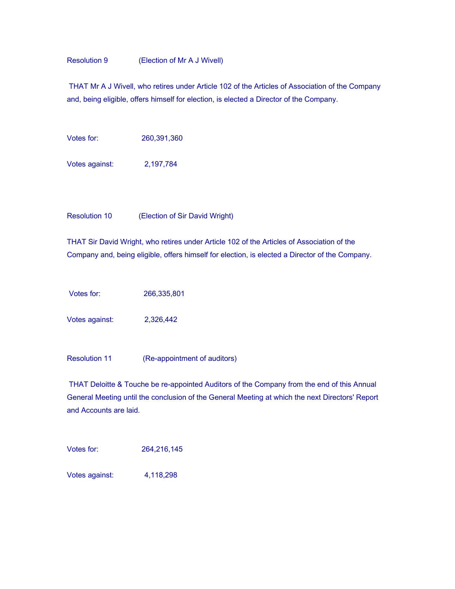## Resolution 9 (Election of Mr A J Wivell)

 THAT Mr A J Wivell, who retires under Article 102 of the Articles of Association of the Company and, being eligible, offers himself for election, is elected a Director of the Company.

Votes for: 260,391,360

Votes against: 2,197,784

Resolution 10 (Election of Sir David Wright)

THAT Sir David Wright, who retires under Article 102 of the Articles of Association of the Company and, being eligible, offers himself for election, is elected a Director of the Company.

Votes for: 266,335,801

Votes against: 2,326,442

Resolution 11 (Re-appointment of auditors)

 THAT Deloitte & Touche be re-appointed Auditors of the Company from the end of this Annual General Meeting until the conclusion of the General Meeting at which the next Directors' Report and Accounts are laid.

Votes for: 264,216,145

Votes against: 4,118,298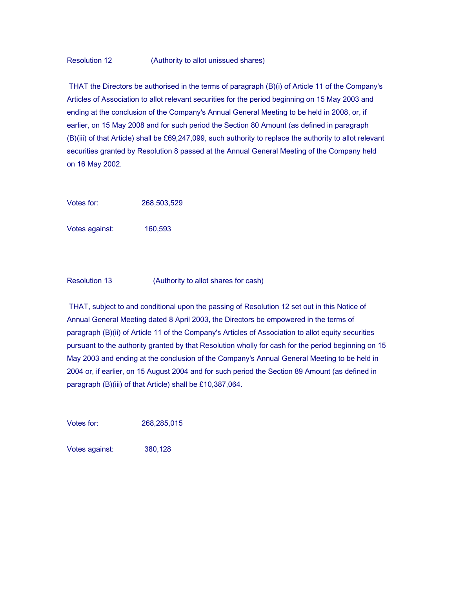## Resolution 12 (Authority to allot unissued shares)

 THAT the Directors be authorised in the terms of paragraph (B)(i) of Article 11 of the Company's Articles of Association to allot relevant securities for the period beginning on 15 May 2003 and ending at the conclusion of the Company's Annual General Meeting to be held in 2008, or, if earlier, on 15 May 2008 and for such period the Section 80 Amount (as defined in paragraph (B)(iii) of that Article) shall be £69,247,099, such authority to replace the authority to allot relevant securities granted by Resolution 8 passed at the Annual General Meeting of the Company held on 16 May 2002.

Votes for: 268,503,529

Votes against: 160,593

Resolution 13 (Authority to allot shares for cash)

 THAT, subject to and conditional upon the passing of Resolution 12 set out in this Notice of Annual General Meeting dated 8 April 2003, the Directors be empowered in the terms of paragraph (B)(ii) of Article 11 of the Company's Articles of Association to allot equity securities pursuant to the authority granted by that Resolution wholly for cash for the period beginning on 15 May 2003 and ending at the conclusion of the Company's Annual General Meeting to be held in 2004 or, if earlier, on 15 August 2004 and for such period the Section 89 Amount (as defined in paragraph (B)(iii) of that Article) shall be £10,387,064.

Votes for: 268,285,015

Votes against: 380,128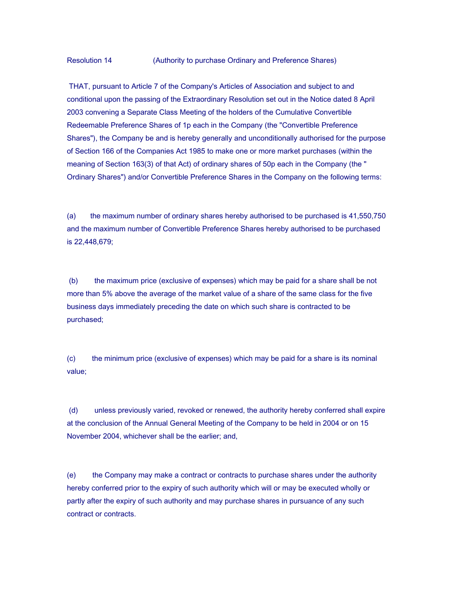Resolution 14 (Authority to purchase Ordinary and Preference Shares)

 THAT, pursuant to Article 7 of the Company's Articles of Association and subject to and conditional upon the passing of the Extraordinary Resolution set out in the Notice dated 8 April 2003 convening a Separate Class Meeting of the holders of the Cumulative Convertible Redeemable Preference Shares of 1p each in the Company (the "Convertible Preference Shares"), the Company be and is hereby generally and unconditionally authorised for the purpose of Section 166 of the Companies Act 1985 to make one or more market purchases (within the meaning of Section 163(3) of that Act) of ordinary shares of 50p each in the Company (the " Ordinary Shares") and/or Convertible Preference Shares in the Company on the following terms:

(a) the maximum number of ordinary shares hereby authorised to be purchased is 41,550,750 and the maximum number of Convertible Preference Shares hereby authorised to be purchased is 22,448,679;

 (b) the maximum price (exclusive of expenses) which may be paid for a share shall be not more than 5% above the average of the market value of a share of the same class for the five business days immediately preceding the date on which such share is contracted to be purchased;

(c) the minimum price (exclusive of expenses) which may be paid for a share is its nominal value;

 (d) unless previously varied, revoked or renewed, the authority hereby conferred shall expire at the conclusion of the Annual General Meeting of the Company to be held in 2004 or on 15 November 2004, whichever shall be the earlier; and,

(e) the Company may make a contract or contracts to purchase shares under the authority hereby conferred prior to the expiry of such authority which will or may be executed wholly or partly after the expiry of such authority and may purchase shares in pursuance of any such contract or contracts.